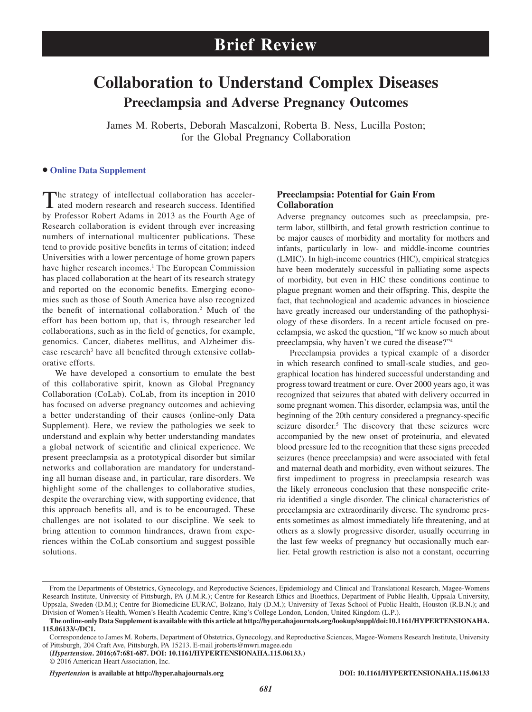# **Collaboration to Understand Complex Diseases Preeclampsia and Adverse Pregnancy Outcomes**

James M. Roberts, Deborah Mascalzoni, Roberta B. Ness, Lucilla Poston; for the Global Pregnancy Collaboration

### **• [Online Data Supplement](http://hyper.ahajournals.org/lookup/suppl/doi:10.1161/HYPERTENSIONAHA.115.06133/-/DC1)**

The strategy of intellectual collaboration has accelerated modern research and research success. Identified by Professor Robert Adams in 2013 as the Fourth Age of Research collaboration is evident through ever increasing numbers of international multicenter publications. These tend to provide positive benefits in terms of citation; indeed Universities with a lower percentage of home grown papers have higher research incomes.<sup>1</sup> The European Commission has placed collaboration at the heart of its research strategy and reported on the economic benefits. Emerging economies such as those of South America have also recognized the benefit of international collaboration.2 Much of the effort has been bottom up, that is, through researcher led collaborations, such as in the field of genetics, for example, genomics. Cancer, diabetes mellitus, and Alzheimer disease research<sup>3</sup> have all benefited through extensive collaborative efforts.

We have developed a consortium to emulate the best of this collaborative spirit, known as Global Pregnancy Collaboration (CoLab). CoLab, from its inception in 2010 has focused on adverse pregnancy outcomes and achieving a better understanding of their causes (online-only Data Supplement). Here, we review the pathologies we seek to understand and explain why better understanding mandates a global network of scientific and clinical experience. We present preeclampsia as a prototypical disorder but similar networks and collaboration are mandatory for understanding all human disease and, in particular, rare disorders. We highlight some of the challenges to collaborative studies, despite the overarching view, with supporting evidence, that this approach benefits all, and is to be encouraged. These challenges are not isolated to our discipline. We seek to bring attention to common hindrances, drawn from experiences within the CoLab consortium and suggest possible solutions.

### **Preeclampsia: Potential for Gain From Collaboration**

Adverse pregnancy outcomes such as preeclampsia, preterm labor, stillbirth, and fetal growth restriction continue to be major causes of morbidity and mortality for mothers and infants, particularly in low- and middle-income countries (LMIC). In high-income countries (HIC), empirical strategies have been moderately successful in palliating some aspects of morbidity, but even in HIC these conditions continue to plague pregnant women and their offspring. This, despite the fact, that technological and academic advances in bioscience have greatly increased our understanding of the pathophysiology of these disorders. In a recent article focused on preeclampsia, we asked the question, "If we know so much about preeclampsia, why haven't we cured the disease?"4

Preeclampsia provides a typical example of a disorder in which research confined to small-scale studies, and geographical location has hindered successful understanding and progress toward treatment or cure. Over 2000 years ago, it was recognized that seizures that abated with delivery occurred in some pregnant women. This disorder, eclampsia was, until the beginning of the 20th century considered a pregnancy-specific seizure disorder.<sup>5</sup> The discovery that these seizures were accompanied by the new onset of proteinuria, and elevated blood pressure led to the recognition that these signs preceded seizures (hence preeclampsia) and were associated with fetal and maternal death and morbidity, even without seizures. The first impediment to progress in preeclampsia research was the likely erroneous conclusion that these nonspecific criteria identified a single disorder. The clinical characteristics of preeclampsia are extraordinarily diverse. The syndrome presents sometimes as almost immediately life threatening, and at others as a slowly progressive disorder, usually occurring in the last few weeks of pregnancy but occasionally much earlier. Fetal growth restriction is also not a constant, occurring

**(***Hypertension***. 2016;67:681-687. DOI: 10.1161/HYPERTENSIONAHA.115.06133.)** © 2016 American Heart Association, Inc.

*Hypertension* **is available at http://hyper.ahajournals.org DOI: 10.1161/HYPERTENSIONAHA.115.06133**

From the Departments of Obstetrics, Gynecology, and Reproductive Sciences, Epidemiology and Clinical and Translational Research, Magee-Womens Research Institute, University of Pittsburgh, PA (J.M.R.); Centre for Research Ethics and Bioethics, Department of Public Health, Uppsala University, Uppsala, Sweden (D.M.); Centre for Biomedicine EURAC, Bolzano, Italy (D.M.); University of Texas School of Public Health, Houston (R.B.N.); and Division of Women's Health, Women's Health Academic Centre, King's College London, London, United Kingdom (L.P.).

**The online-only Data Supplement is available with this article at [http://hyper.ahajournals.org/lookup/suppl/doi:10.1161/HYPERTENSIONAHA.](http://hyper.ahajournals.org/lookup/suppl/doi:10.1161/HYPERTENSIONAHA.115.06133/-/DC1) [115.06133/-/DC1](http://hyper.ahajournals.org/lookup/suppl/doi:10.1161/HYPERTENSIONAHA.115.06133/-/DC1).**

Correspondence to James M. Roberts, Department of Obstetrics, Gynecology, and Reproductive Sciences, Magee-Womens Research Institute, University of Pittsburgh, 204 Craft Ave, Pittsburgh, PA 15213. E-mail [jroberts@mwri.magee.edu](mailto:jroberts@mwri.magee.edu)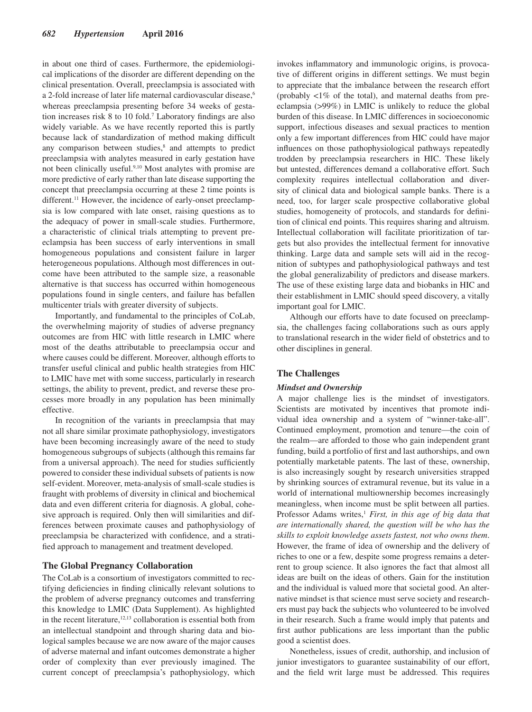in about one third of cases. Furthermore, the epidemiological implications of the disorder are different depending on the clinical presentation. Overall, preeclampsia is associated with a 2-fold increase of later life maternal cardiovascular disease,<sup>6</sup> whereas preeclampsia presenting before 34 weeks of gestation increases risk 8 to 10 fold.7 Laboratory findings are also widely variable. As we have recently reported this is partly because lack of standardization of method making difficult any comparison between studies,<sup>8</sup> and attempts to predict preeclampsia with analytes measured in early gestation have not been clinically useful.9,10 Most analytes with promise are more predictive of early rather than late disease supporting the concept that preeclampsia occurring at these 2 time points is different.<sup>11</sup> However, the incidence of early-onset preeclampsia is low compared with late onset, raising questions as to the adequacy of power in small-scale studies. Furthermore, a characteristic of clinical trials attempting to prevent preeclampsia has been success of early interventions in small homogeneous populations and consistent failure in larger heterogeneous populations. Although most differences in outcome have been attributed to the sample size, a reasonable alternative is that success has occurred within homogeneous populations found in single centers, and failure has befallen multicenter trials with greater diversity of subjects.

Importantly, and fundamental to the principles of CoLab, the overwhelming majority of studies of adverse pregnancy outcomes are from HIC with little research in LMIC where most of the deaths attributable to preeclampsia occur and where causes could be different. Moreover, although efforts to transfer useful clinical and public health strategies from HIC to LMIC have met with some success, particularly in research settings, the ability to prevent, predict, and reverse these processes more broadly in any population has been minimally effective.

In recognition of the variants in preeclampsia that may not all share similar proximate pathophysiology, investigators have been becoming increasingly aware of the need to study homogeneous subgroups of subjects (although this remains far from a universal approach). The need for studies sufficiently powered to consider these individual subsets of patients is now self-evident. Moreover, meta-analysis of small-scale studies is fraught with problems of diversity in clinical and biochemical data and even different criteria for diagnosis. A global, cohesive approach is required. Only then will similarities and differences between proximate causes and pathophysiology of preeclampsia be characterized with confidence, and a stratified approach to management and treatment developed.

#### **The Global Pregnancy Collaboration**

The CoLab is a consortium of investigators committed to rectifying deficiencies in finding clinically relevant solutions to the problem of adverse pregnancy outcomes and transferring this knowledge to LMIC (Data Supplement). As highlighted in the recent literature, $12,13$  collaboration is essential both from an intellectual standpoint and through sharing data and biological samples because we are now aware of the major causes of adverse maternal and infant outcomes demonstrate a higher order of complexity than ever previously imagined. The current concept of preeclampsia's pathophysiology, which

invokes inflammatory and immunologic origins, is provocative of different origins in different settings. We must begin to appreciate that the imbalance between the research effort (probably <1% of the total), and maternal deaths from preeclampsia (>99%) in LMIC is unlikely to reduce the global burden of this disease. In LMIC differences in socioeconomic support, infectious diseases and sexual practices to mention only a few important differences from HIC could have major influences on those pathophysiological pathways repeatedly trodden by preeclampsia researchers in HIC. These likely but untested, differences demand a collaborative effort. Such complexity requires intellectual collaboration and diversity of clinical data and biological sample banks. There is a need, too, for larger scale prospective collaborative global studies, homogeneity of protocols, and standards for definition of clinical end points. This requires sharing and altruism. Intellectual collaboration will facilitate prioritization of targets but also provides the intellectual ferment for innovative thinking. Large data and sample sets will aid in the recognition of subtypes and pathophysiological pathways and test the global generalizability of predictors and disease markers. The use of these existing large data and biobanks in HIC and their establishment in LMIC should speed discovery, a vitally important goal for LMIC.

Although our efforts have to date focused on preeclampsia, the challenges facing collaborations such as ours apply to translational research in the wider field of obstetrics and to other disciplines in general.

#### **The Challenges**

#### *Mindset and Ownership*

A major challenge lies is the mindset of investigators. Scientists are motivated by incentives that promote individual idea ownership and a system of "winner-take-all". Continued employment, promotion and tenure—the coin of the realm—are afforded to those who gain independent grant funding, build a portfolio of first and last authorships, and own potentially marketable patents. The last of these, ownership, is also increasingly sought by research universities strapped by shrinking sources of extramural revenue, but its value in a world of international multiownership becomes increasingly meaningless, when income must be split between all parties. Professor Adams writes,<sup>1</sup> *First, in this age of big data that are internationally shared, the question will be who has the skills to exploit knowledge assets fastest, not who owns them*. However, the frame of idea of ownership and the delivery of riches to one or a few, despite some progress remains a deterrent to group science. It also ignores the fact that almost all ideas are built on the ideas of others. Gain for the institution and the individual is valued more that societal good. An alternative mindset is that science must serve society and researchers must pay back the subjects who volunteered to be involved in their research. Such a frame would imply that patents and first author publications are less important than the public good a scientist does.

Nonetheless, issues of credit, authorship, and inclusion of junior investigators to guarantee sustainability of our effort, and the field writ large must be addressed. This requires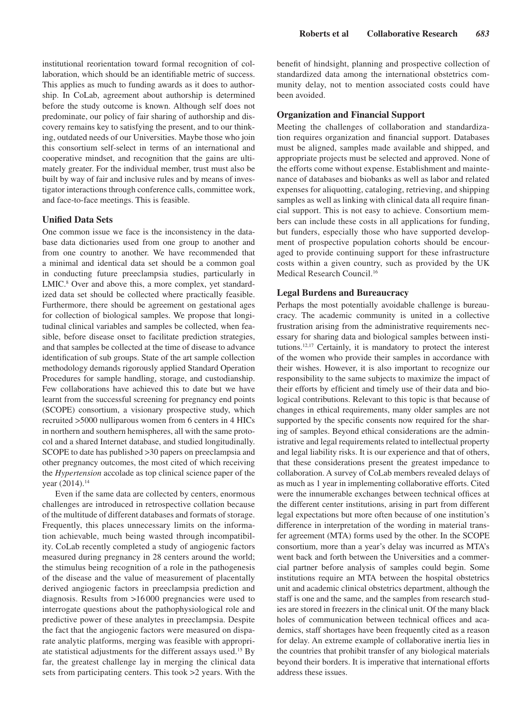institutional reorientation toward formal recognition of collaboration, which should be an identifiable metric of success. This applies as much to funding awards as it does to authorship. In CoLab, agreement about authorship is determined before the study outcome is known. Although self does not predominate, our policy of fair sharing of authorship and discovery remains key to satisfying the present, and to our thinking, outdated needs of our Universities. Maybe those who join this consortium self-select in terms of an international and cooperative mindset, and recognition that the gains are ultimately greater. For the individual member, trust must also be built by way of fair and inclusive rules and by means of investigator interactions through conference calls, committee work, and face-to-face meetings. This is feasible.

### **Unified Data Sets**

One common issue we face is the inconsistency in the database data dictionaries used from one group to another and from one country to another. We have recommended that a minimal and identical data set should be a common goal in conducting future preeclampsia studies, particularly in LMIC.<sup>8</sup> Over and above this, a more complex, yet standardized data set should be collected where practically feasible. Furthermore, there should be agreement on gestational ages for collection of biological samples. We propose that longitudinal clinical variables and samples be collected, when feasible, before disease onset to facilitate prediction strategies, and that samples be collected at the time of disease to advance identification of sub groups. State of the art sample collection methodology demands rigorously applied Standard Operation Procedures for sample handling, storage, and custodianship. Few collaborations have achieved this to date but we have learnt from the successful screening for pregnancy end points (SCOPE) consortium, a visionary prospective study, which recruited >5000 nulliparous women from 6 centers in 4 HICs in northern and southern hemispheres, all with the same protocol and a shared Internet database, and studied longitudinally. SCOPE to date has published >30 papers on preeclampsia and other pregnancy outcomes, the most cited of which receiving the *Hypertension* accolade as top clinical science paper of the year (2014).<sup>14</sup>

Even if the same data are collected by centers, enormous challenges are introduced in retrospective collation because of the multitude of different databases and formats of storage. Frequently, this places unnecessary limits on the information achievable, much being wasted through incompatibility. CoLab recently completed a study of angiogenic factors measured during pregnancy in 28 centers around the world; the stimulus being recognition of a role in the pathogenesis of the disease and the value of measurement of placentally derived angiogenic factors in preeclampsia prediction and diagnosis. Results from >16 000 pregnancies were used to interrogate questions about the pathophysiological role and predictive power of these analytes in preeclampsia. Despite the fact that the angiogenic factors were measured on disparate analytic platforms, merging was feasible with appropriate statistical adjustments for the different assays used.15 By far, the greatest challenge lay in merging the clinical data sets from participating centers. This took >2 years. With the benefit of hindsight, planning and prospective collection of standardized data among the international obstetrics community delay, not to mention associated costs could have been avoided.

## **Organization and Financial Support**

Meeting the challenges of collaboration and standardization requires organization and financial support. Databases must be aligned, samples made available and shipped, and appropriate projects must be selected and approved. None of the efforts come without expense. Establishment and maintenance of databases and biobanks as well as labor and related expenses for aliquotting, cataloging, retrieving, and shipping samples as well as linking with clinical data all require financial support. This is not easy to achieve. Consortium members can include these costs in all applications for funding, but funders, especially those who have supported development of prospective population cohorts should be encouraged to provide continuing support for these infrastructure costs within a given country, such as provided by the UK Medical Research Council.16

#### **Legal Burdens and Bureaucracy**

Perhaps the most potentially avoidable challenge is bureaucracy. The academic community is united in a collective frustration arising from the administrative requirements necessary for sharing data and biological samples between institutions.12,17 Certainly, it is mandatory to protect the interest of the women who provide their samples in accordance with their wishes. However, it is also important to recognize our responsibility to the same subjects to maximize the impact of their efforts by efficient and timely use of their data and biological contributions. Relevant to this topic is that because of changes in ethical requirements, many older samples are not supported by the specific consents now required for the sharing of samples. Beyond ethical considerations are the administrative and legal requirements related to intellectual property and legal liability risks. It is our experience and that of others, that these considerations present the greatest impedance to collaboration. A survey of CoLab members revealed delays of as much as 1 year in implementing collaborative efforts. Cited were the innumerable exchanges between technical offices at the different center institutions, arising in part from different legal expectations but more often because of one institution's difference in interpretation of the wording in material transfer agreement (MTA) forms used by the other. In the SCOPE consortium, more than a year's delay was incurred as MTA's went back and forth between the Universities and a commercial partner before analysis of samples could begin. Some institutions require an MTA between the hospital obstetrics unit and academic clinical obstetrics department, although the staff is one and the same, and the samples from research studies are stored in freezers in the clinical unit. Of the many black holes of communication between technical offices and academics, staff shortages have been frequently cited as a reason for delay. An extreme example of collaborative inertia lies in the countries that prohibit transfer of any biological materials beyond their borders. It is imperative that international efforts address these issues.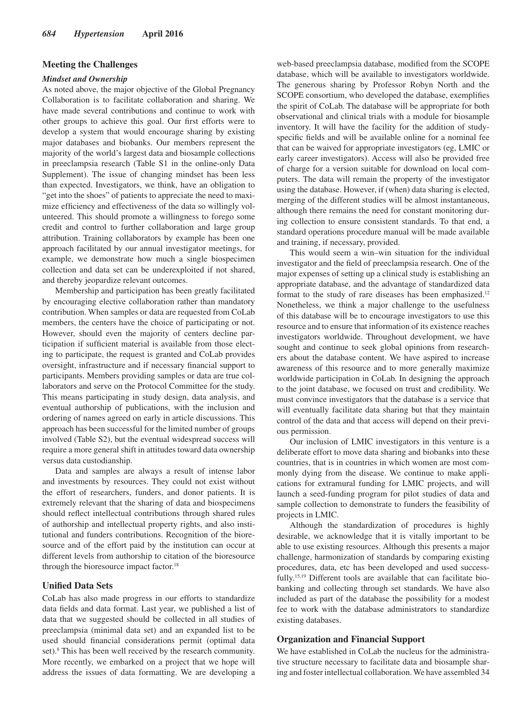### **Meeting the Challenges**

#### *Mindset and Ownership*

As noted above, the major objective of the Global Pregnancy Collaboration is to facilitate collaboration and sharing. We have made several contributions and continue to work with other groups to achieve this goal. Our first efforts were to develop a system that would encourage sharing by existing major databases and biobanks. Our members represent the majority of the world's largest data and biosample collections in preeclampsia research (Table S1 in the online-only Data Supplement). The issue of changing mindset has been less than expected. Investigators, we think, have an obligation to "get into the shoes" of patients to appreciate the need to maximize efficiency and effectiveness of the data so willingly volunteered. This should promote a willingness to forego some credit and control to further collaboration and large group attribution. Training collaborators by example has been one approach facilitated by our annual investigator meetings, for example, we demonstrate how much a single biospecimen collection and data set can be underexploited if not shared, and thereby jeopardize relevant outcomes.

Membership and participation has been greatly facilitated by encouraging elective collaboration rather than mandatory contribution. When samples or data are requested from CoLab members, the centers have the choice of participating or not. However, should even the majority of centers decline participation if sufficient material is available from those electing to participate, the request is granted and CoLab provides oversight, infrastructure and if necessary financial support to participants. Members providing samples or data are true collaborators and serve on the Protocol Committee for the study. This means participating in study design, data analysis, and eventual authorship of publications, with the inclusion and ordering of names agreed on early in article discussions. This approach has been successful for the limited number of groups involved (Table S2), but the eventual widespread success will require a more general shift in attitudes toward data ownership versus data custodianship.

Data and samples are always a result of intense labor and investments by resources. They could not exist without the effort of researchers, funders, and donor patients. It is extremely relevant that the sharing of data and biospecimens should reflect intellectual contributions through shared rules of authorship and intellectual property rights, and also institutional and funders contributions. Recognition of the bioresource and of the effort paid by the institution can occur at different levels from authorship to citation of the bioresource through the bioresource impact factor.<sup>18</sup>

#### **Unified Data Sets**

CoLab has also made progress in our efforts to standardize data fields and data format. Last year, we published a list of data that we suggested should be collected in all studies of preeclampsia (minimal data set) and an expanded list to be used should financial considerations permit (optimal data set).<sup>8</sup> This has been well received by the research community. More recently, we embarked on a project that we hope will address the issues of data formatting. We are developing a

web-based preeclampsia database, modified from the SCOPE database, which will be available to investigators worldwide. The generous sharing by Professor Robyn North and the SCOPE consortium, who developed the database, exemplifies the spirit of CoLab. The database will be appropriate for both observational and clinical trials with a module for biosample inventory. It will have the facility for the addition of studyspecific fields and will be available online for a nominal fee that can be waived for appropriate investigators (eg, LMIC or early career investigators). Access will also be provided free of charge for a version suitable for download on local computers. The data will remain the property of the investigator using the database. However, if (when) data sharing is elected, merging of the different studies will be almost instantaneous, although there remains the need for constant monitoring during collection to ensure consistent standards. To that end, a standard operations procedure manual will be made available and training, if necessary, provided.

This would seem a win–win situation for the individual investigator and the field of preeclampsia research. One of the major expenses of setting up a clinical study is establishing an appropriate database, and the advantage of standardized data format to the study of rare diseases has been emphasized.12 Nonetheless, we think a major challenge to the usefulness of this database will be to encourage investigators to use this resource and to ensure that information of its existence reaches investigators worldwide. Throughout development, we have sought and continue to seek global opinions from researchers about the database content. We have aspired to increase awareness of this resource and to more generally maximize worldwide participation in CoLab. In designing the approach to the joint database, we focused on trust and credibility. We must convince investigators that the database is a service that will eventually facilitate data sharing but that they maintain control of the data and that access will depend on their previous permission.

Our inclusion of LMIC investigators in this venture is a deliberate effort to move data sharing and biobanks into these countries, that is in countries in which women are most commonly dying from the disease. We continue to make applications for extramural funding for LMIC projects, and will launch a seed-funding program for pilot studies of data and sample collection to demonstrate to funders the feasibility of projects in LMIC.

Although the standardization of procedures is highly desirable, we acknowledge that it is vitally important to be able to use existing resources. Although this presents a major challenge, harmonization of standards by comparing existing procedures, data, etc has been developed and used successfully.<sup>15,19</sup> Different tools are available that can facilitate biobanking and collecting through set standards. We have also included as part of the database the possibility for a modest fee to work with the database administrators to standardize existing databases.

#### **Organization and Financial Support**

We have established in CoLab the nucleus for the administrative structure necessary to facilitate data and biosample sharing and foster intellectual collaboration. We have assembled 34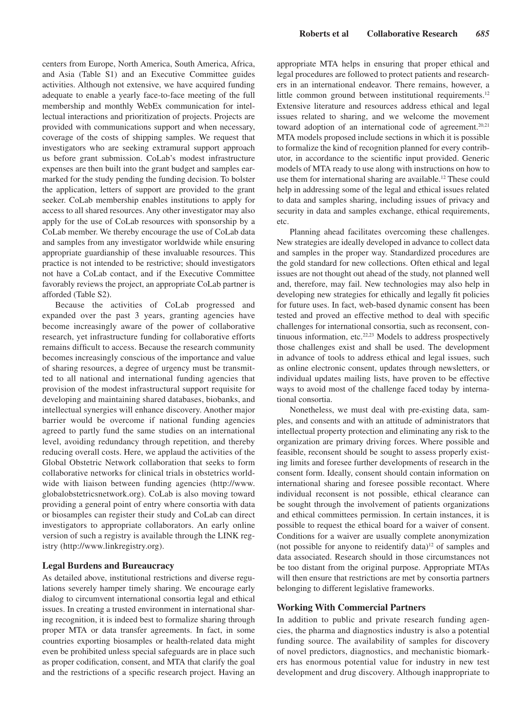centers from Europe, North America, South America, Africa, and Asia (Table S1) and an Executive Committee guides activities. Although not extensive, we have acquired funding adequate to enable a yearly face-to-face meeting of the full membership and monthly WebEx communication for intellectual interactions and prioritization of projects. Projects are provided with communications support and when necessary, coverage of the costs of shipping samples. We request that investigators who are seeking extramural support approach us before grant submission. CoLab's modest infrastructure expenses are then built into the grant budget and samples earmarked for the study pending the funding decision. To bolster the application, letters of support are provided to the grant seeker. CoLab membership enables institutions to apply for access to all shared resources. Any other investigator may also apply for the use of CoLab resources with sponsorship by a CoLab member. We thereby encourage the use of CoLab data and samples from any investigator worldwide while ensuring appropriate guardianship of these invaluable resources. This practice is not intended to be restrictive; should investigators not have a CoLab contact, and if the Executive Committee favorably reviews the project, an appropriate CoLab partner is afforded (Table S2).

Because the activities of CoLab progressed and expanded over the past 3 years, granting agencies have become increasingly aware of the power of collaborative research, yet infrastructure funding for collaborative efforts remains difficult to access. Because the research community becomes increasingly conscious of the importance and value of sharing resources, a degree of urgency must be transmitted to all national and international funding agencies that provision of the modest infrastructural support requisite for developing and maintaining shared databases, biobanks, and intellectual synergies will enhance discovery. Another major barrier would be overcome if national funding agencies agreed to partly fund the same studies on an international level, avoiding redundancy through repetition, and thereby reducing overall costs. Here, we applaud the activities of the Global Obstetric Network collaboration that seeks to form collaborative networks for clinical trials in obstetrics worldwide with liaison between funding agencies ([http://www.](http://www.globalobstetricsnetwork.org) [globalobstetricsnetwork.org](http://www.globalobstetricsnetwork.org)). CoLab is also moving toward providing a general point of entry where consortia with data or biosamples can register their study and CoLab can direct investigators to appropriate collaborators. An early online version of such a registry is available through the LINK registry (<http://www.linkregistry.org>).

## **Legal Burdens and Bureaucracy**

As detailed above, institutional restrictions and diverse regulations severely hamper timely sharing. We encourage early dialog to circumvent international consortia legal and ethical issues. In creating a trusted environment in international sharing recognition, it is indeed best to formalize sharing through proper MTA or data transfer agreements. In fact, in some countries exporting biosamples or health-related data might even be prohibited unless special safeguards are in place such as proper codification, consent, and MTA that clarify the goal and the restrictions of a specific research project. Having an appropriate MTA helps in ensuring that proper ethical and legal procedures are followed to protect patients and researchers in an international endeavor. There remains, however, a little common ground between institutional requirements.<sup>12</sup> Extensive literature and resources address ethical and legal issues related to sharing, and we welcome the movement toward adoption of an international code of agreement.<sup>20,21</sup> MTA models proposed include sections in which it is possible to formalize the kind of recognition planned for every contributor, in accordance to the scientific input provided. Generic models of MTA ready to use along with instructions on how to use them for international sharing are available.<sup>12</sup> These could help in addressing some of the legal and ethical issues related to data and samples sharing, including issues of privacy and security in data and samples exchange, ethical requirements, etc.

Planning ahead facilitates overcoming these challenges. New strategies are ideally developed in advance to collect data and samples in the proper way. Standardized procedures are the gold standard for new collections. Often ethical and legal issues are not thought out ahead of the study, not planned well and, therefore, may fail. New technologies may also help in developing new strategies for ethically and legally fit policies for future uses. In fact, web-based dynamic consent has been tested and proved an effective method to deal with specific challenges for international consortia, such as reconsent, continuous information, etc.22,23 Models to address prospectively those challenges exist and shall be used. The development in advance of tools to address ethical and legal issues, such as online electronic consent, updates through newsletters, or individual updates mailing lists, have proven to be effective ways to avoid most of the challenge faced today by international consortia.

Nonetheless, we must deal with pre-existing data, samples, and consents and with an attitude of administrators that intellectual property protection and eliminating any risk to the organization are primary driving forces. Where possible and feasible, reconsent should be sought to assess properly existing limits and foresee further developments of research in the consent form. Ideally, consent should contain information on international sharing and foresee possible recontact. Where individual reconsent is not possible, ethical clearance can be sought through the involvement of patients organizations and ethical committees permission. In certain instances, it is possible to request the ethical board for a waiver of consent. Conditions for a waiver are usually complete anonymization (not possible for anyone to reidentify data) $12$  of samples and data associated. Research should in those circumstances not be too distant from the original purpose. Appropriate MTAs will then ensure that restrictions are met by consortia partners belonging to different legislative frameworks.

#### **Working With Commercial Partners**

In addition to public and private research funding agencies, the pharma and diagnostics industry is also a potential funding source. The availability of samples for discovery of novel predictors, diagnostics, and mechanistic biomarkers has enormous potential value for industry in new test development and drug discovery. Although inappropriate to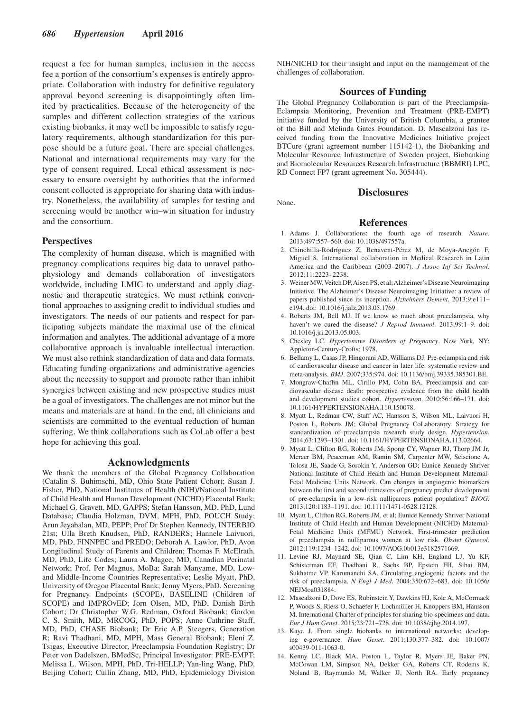request a fee for human samples, inclusion in the access fee a portion of the consortium's expenses is entirely appropriate. Collaboration with industry for definitive regulatory approval beyond screening is disappointingly often limited by practicalities. Because of the heterogeneity of the samples and different collection strategies of the various existing biobanks, it may well be impossible to satisfy regulatory requirements, although standardization for this purpose should be a future goal. There are special challenges. National and international requirements may vary for the type of consent required. Local ethical assessment is necessary to ensure oversight by authorities that the informed consent collected is appropriate for sharing data with industry. Nonetheless, the availability of samples for testing and screening would be another win–win situation for industry and the consortium.

#### **Perspectives**

The complexity of human disease, which is magnified with pregnancy complications requires big data to unravel pathophysiology and demands collaboration of investigators worldwide, including LMIC to understand and apply diagnostic and therapeutic strategies. We must rethink conventional approaches to assigning credit to individual studies and investigators. The needs of our patients and respect for participating subjects mandate the maximal use of the clinical information and analytes. The additional advantage of a more collaborative approach is invaluable intellectual interaction. We must also rethink standardization of data and data formats. Educating funding organizations and administrative agencies about the necessity to support and promote rather than inhibit synergies between existing and new prospective studies must be a goal of investigators. The challenges are not minor but the means and materials are at hand. In the end, all clinicians and scientists are committed to the eventual reduction of human suffering. We think collaborations such as CoLab offer a best hope for achieving this goal.

#### **Acknowledgments**

We thank the members of the Global Pregnancy Collaboration (Catalin S. Buhimschi, MD, Ohio State Patient Cohort; Susan J. Fisher, PhD, National Institutes of Health (NIH)/National Institute of Child Health and Human Development (NICHD) Placental Bank; Michael G. Gravett, MD, GAPPS; Stefan Hansson, MD, PhD, Lund Database; Claudia Holzman, DVM, MPH, PhD, POUCH Study; Arun Jeyabalan, MD, PEPP; Prof Dr Stephen Kennedy, INTERBIO 21st; Ulla Breth Knudsen, PhD, RANDERS; Hannele Laivuori, MD, PhD, FINNPEC and PREDO; Deborah A. Lawlor, PhD, Avon Longitudinal Study of Parents and Children; Thomas F. McElrath, MD, PhD, Life Codes; Laura A. Magee, MD, Canadian Perinatal Network; Prof. Per Magnus, MoBa; Sarah Manyame, MD, Lowand Middle-Income Countries Representative; Leslie Myatt, PhD, University of Oregon Placental Bank; Jenny Myers, PhD, Screening for Pregnancy Endpoints (SCOPE), BASELINE (Children of SCOPE) and IMPROvED; Jorn Olsen, MD, PhD, Danish Birth Cohort; Dr Christopher W.G. Redman, Oxford Biobank; Gordon C. S. Smith, MD, MRCOG, PhD, POPS; Anne Cathrine Staff, MD, PhD, CHASE Biobank; Dr Eric A.P. Steegers, Generation R; Ravi Thadhani, MD, MPH, Mass General Biobank; Eleni Z. Tsigas, Executive Director, Preeclampsia Foundation Registry; Dr Peter von Dadelszen, BMedSc, Principal Investigator: PRE-EMPT; Melissa L. Wilson, MPH, PhD, Tri-HELLP; Yan-ling Wang, PhD, Beijing Cohort; Cuilin Zhang, MD, PhD, Epidemiology Division

NIH/NICHD for their insight and input on the management of the challenges of collaboration.

#### **Sources of Funding**

The Global Pregnancy Collaboration is part of the Preeclampsia-Eclampsia Monitoring, Prevention and Treatment (PRE-EMPT) initiative funded by the University of British Columbia, a grantee of the Bill and Melinda Gates Foundation. D. Mascalzoni has received funding from the Innovative Medicines Initiative project BTCure (grant agreement number 115142-1), the Biobanking and Molecular Resource Infrastructure of Sweden project, Biobanking and Biomolecular Resources Research Infrastructure (BBMRI) LPC, RD Connect FP7 (grant agreement No. 305444).

None.

## **Disclosures**

#### **References**

- 1. Adams J. Collaborations: the fourth age of research. *Nature*. 2013;497:557–560. doi: 10.1038/497557a.
- 2. Chinchilla-Rodríguez Z, Benavent-Pérez M, de Moya-Anegón F, Miguel S. International collaboration in Medical Research in Latin America and the Caribbean (2003–2007). *J Assoc Inf Sci Technol*. 2012;11:2223–2238.
- 3. Weiner MW, Veitch DP, Aisen PS, et al; Alzheimer's Disease Neuroimaging Initiative. The Alzheimer's Disease Neuroimaging Initiative: a review of papers published since its inception. *Alzheimers Dement*. 2013;9:e111– e194. doi: 10.1016/j.jalz.2013.05.1769.
- 4. Roberts JM, Bell MJ. If we know so much about preeclampsia, why haven't we cured the disease? *J Reprod Immunol*. 2013;99:1–9. doi: 10.1016/j.jri.2013.05.003.
- 5. Chesley LC. *Hypertensive Disorders of Pregnancy*. New York, NY: Appleton-Century-Crofts; 1978.
- 6. Bellamy L, Casas JP, Hingorani AD, Williams DJ. Pre-eclampsia and risk of cardiovascular disease and cancer in later life: systematic review and meta-analysis. *BMJ*. 2007;335:974. doi: 10.1136/bmj.39335.385301.BE.
- 7. Mongraw-Chaffin ML, Cirillo PM, Cohn BA. Preeclampsia and cardiovascular disease death: prospective evidence from the child health and development studies cohort. *Hypertension*. 2010;56:166–171. doi: 10.1161/HYPERTENSIONAHA.110.150078.
- 8. Myatt L, Redman CW, Staff AC, Hansson S, Wilson ML, Laivuori H, Poston L, Roberts JM; Global Pregnancy CoLaboratory. Strategy for standardization of preeclampsia research study design. *Hypertension*. 2014;63:1293–1301. doi: 10.1161/HYPERTENSIONAHA.113.02664.
- 9. Myatt L, Clifton RG, Roberts JM, Spong CY, Wapner RJ, Thorp JM Jr, Mercer BM, Peaceman AM, Ramin SM, Carpenter MW, Sciscione A, Tolosa JE, Saade G, Sorokin Y, Anderson GD; Eunice Kennedy Shriver National Institute of Child Health and Human Development Maternal-Fetal Medicine Units Network. Can changes in angiogenic biomarkers between the first and second trimesters of pregnancy predict development of pre-eclampsia in a low-risk nulliparous patient population? *BJOG*. 2013;120:1183–1191. doi: 10.1111/1471-0528.12128.
- 10. Myatt L, Clifton RG, Roberts JM, et al; Eunice Kennedy Shriver National Institute of Child Health and Human Development (NICHD) Maternal-Fetal Medicine Units (MFMU) Network. First-trimester prediction of preeclampsia in nulliparous women at low risk. *Obstet Gynecol*. 2012;119:1234–1242. doi: 10.1097/AOG.0b013e3182571669.
- 11. Levine RJ, Maynard SE, Qian C, Lim KH, England LJ, Yu KF, Schisterman EF, Thadhani R, Sachs BP, Epstein FH, Sibai BM, Sukhatme VP, Karumanchi SA. Circulating angiogenic factors and the risk of preeclampsia. *N Engl J Med*. 2004;350:672–683. doi: 10.1056/ NEJMoa031884.
- 12. Mascalzoni D, Dove ES, Rubinstein Y, Dawkins HJ, Kole A, McCormack P, Woods S, Riess O, Schaefer F, Lochmüller H, Knoppers BM, Hansson M. International Charter of principles for sharing bio-specimens and data. *Eur J Hum Genet*. 2015;23:721–728. doi: 10.1038/ejhg.2014.197.
- 13. Kaye J. From single biobanks to international networks: developing e-governance. *Hum Genet*. 2011;130:377–382. doi: 10.1007/ s00439-011-1063-0.
- 14. Kenny LC, Black MA, Poston L, Taylor R, Myers JE, Baker PN, McCowan LM, Simpson NA, Dekker GA, Roberts CT, Rodems K, Noland B, Raymundo M, Walker JJ, North RA. Early pregnancy